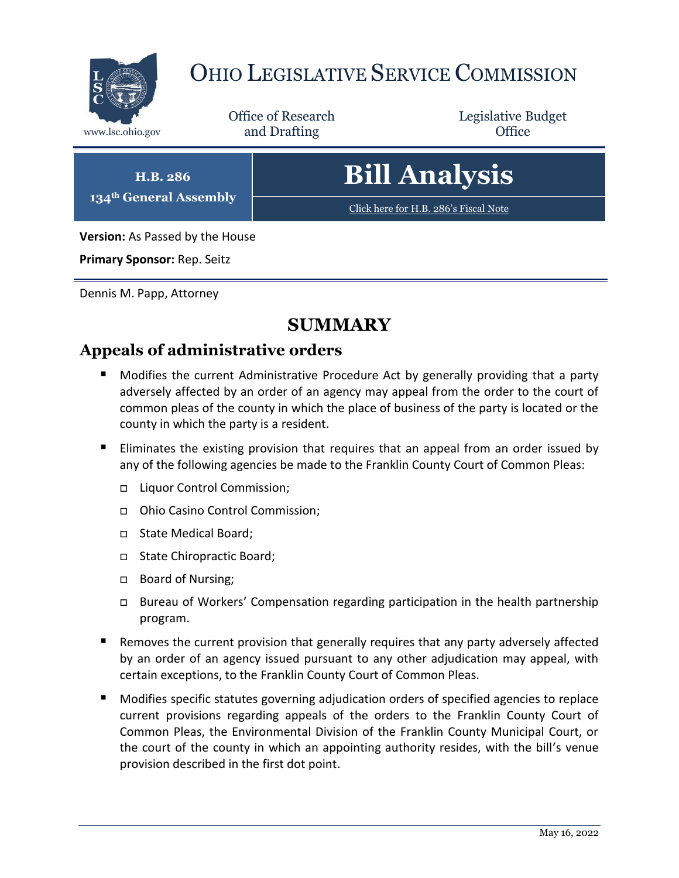

## OHIO LEGISLATIVE SERVICE COMMISSION

Office of Research www.lsc.ohio.gov **and Drafting Office** 

Legislative Budget

**H.B. 286 134th General Assembly**

# **Bill Analysis**

[Click here for H.B. 286](https://www.legislature.ohio.gov/legislation/legislation-documents?id=GA134-HB-286)'s Fiscal Note

**Version:** As Passed by the House

**Primary Sponsor:** Rep. Seitz

Dennis M. Papp, Attorney

### **SUMMARY**

#### **Appeals of administrative orders**

- **Modifies the current Administrative Procedure Act by generally providing that a party** adversely affected by an order of an agency may appeal from the order to the court of common pleas of the county in which the place of business of the party is located or the county in which the party is a resident.
- **Eliminates the existing provision that requires that an appeal from an order issued by** any of the following agencies be made to the Franklin County Court of Common Pleas:
	- □ Liquor Control Commission;
	- Ohio Casino Control Commission;
	- □ State Medical Board;
	- State Chiropractic Board;
	- □ Board of Nursing;
	- Bureau of Workers' Compensation regarding participation in the health partnership program.
- Removes the current provision that generally requires that any party adversely affected by an order of an agency issued pursuant to any other adjudication may appeal, with certain exceptions, to the Franklin County Court of Common Pleas.
- Modifies specific statutes governing adjudication orders of specified agencies to replace current provisions regarding appeals of the orders to the Franklin County Court of Common Pleas, the Environmental Division of the Franklin County Municipal Court, or the court of the county in which an appointing authority resides, with the bill's venue provision described in the first dot point.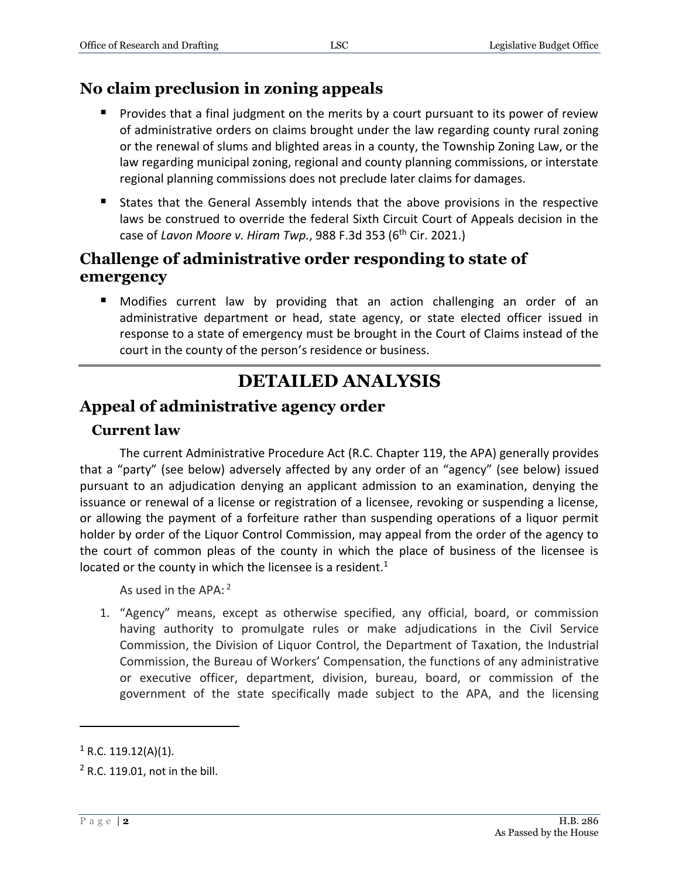#### **No claim preclusion in zoning appeals**

- Provides that a final judgment on the merits by a court pursuant to its power of review of administrative orders on claims brought under the law regarding county rural zoning or the renewal of slums and blighted areas in a county, the Township Zoning Law, or the law regarding municipal zoning, regional and county planning commissions, or interstate regional planning commissions does not preclude later claims for damages.
- States that the General Assembly intends that the above provisions in the respective laws be construed to override the federal Sixth Circuit Court of Appeals decision in the case of *Lavon Moore v. Hiram Twp.*, 988 F.3d 353 (6th Cir. 2021.)

#### **Challenge of administrative order responding to state of emergency**

 Modifies current law by providing that an action challenging an order of an administrative department or head, state agency, or state elected officer issued in response to a state of emergency must be brought in the Court of Claims instead of the court in the county of the person's residence or business.

## **DETAILED ANALYSIS**

#### **Appeal of administrative agency order**

#### **Current law**

The current Administrative Procedure Act (R.C. Chapter 119, the APA) generally provides that a "party" (see below) adversely affected by any order of an "agency" (see below) issued pursuant to an adjudication denying an applicant admission to an examination, denying the issuance or renewal of a license or registration of a licensee, revoking or suspending a license, or allowing the payment of a forfeiture rather than suspending operations of a liquor permit holder by order of the Liquor Control Commission, may appeal from the order of the agency to the court of common pleas of the county in which the place of business of the licensee is located or the county in which the licensee is a resident. $1$ 

As used in the APA: <sup>2</sup>

1. "Agency" means, except as otherwise specified, any official, board, or commission having authority to promulgate rules or make adjudications in the Civil Service Commission, the Division of Liquor Control, the Department of Taxation, the Industrial Commission, the Bureau of Workers' Compensation, the functions of any administrative or executive officer, department, division, bureau, board, or commission of the government of the state specifically made subject to the APA, and the licensing

 $\overline{a}$ 

 $1$  R.C. 119.12(A)(1).

<sup>2</sup> R.C. 119.01, not in the bill.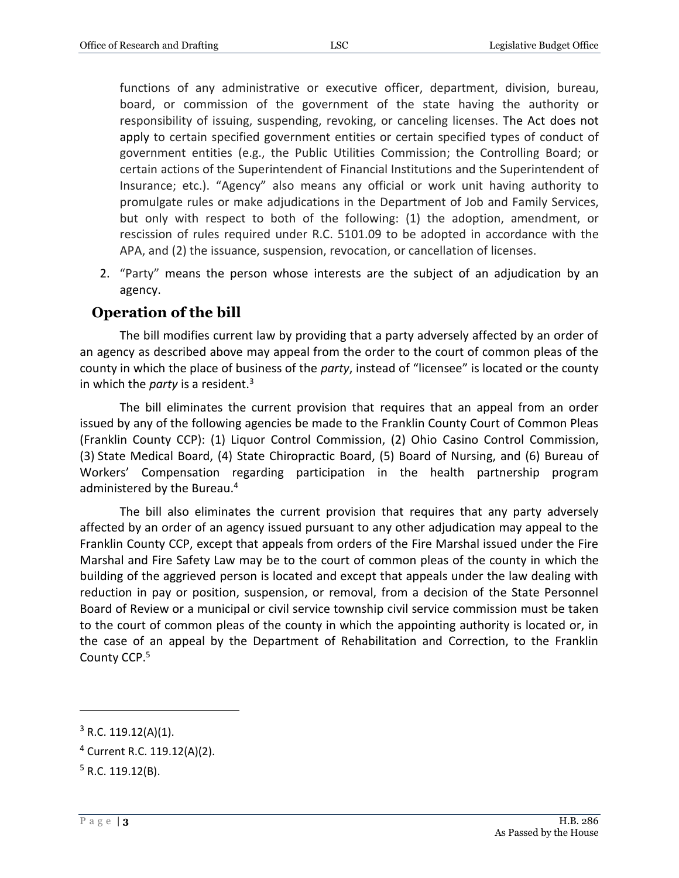functions of any administrative or executive officer, department, division, bureau, board, or commission of the government of the state having the authority or responsibility of issuing, suspending, revoking, or canceling licenses. The Act does not apply to certain specified government entities or certain specified types of conduct of government entities (e.g., the Public Utilities Commission; the Controlling Board; or certain actions of the Superintendent of Financial Institutions and the Superintendent of Insurance; etc.). "Agency" also means any official or work unit having authority to promulgate rules or make adjudications in the Department of Job and Family Services, but only with respect to both of the following: (1) the adoption, amendment, or rescission of rules required under R.C. 5101.09 to be adopted in accordance with the APA, and (2) the issuance, suspension, revocation, or cancellation of licenses.

2. "Party" means the person whose interests are the subject of an adjudication by an agency.

#### **Operation of the bill**

The bill modifies current law by providing that a party adversely affected by an order of an agency as described above may appeal from the order to the court of common pleas of the county in which the place of business of the *party*, instead of "licensee" is located or the county in which the *party* is a resident.<sup>3</sup>

The bill eliminates the current provision that requires that an appeal from an order issued by any of the following agencies be made to the Franklin County Court of Common Pleas (Franklin County CCP): (1) Liquor Control Commission, (2) Ohio Casino Control Commission, (3) State Medical Board, (4) State Chiropractic Board, (5) Board of Nursing, and (6) Bureau of Workers' Compensation regarding participation in the health partnership program administered by the Bureau.<sup>4</sup>

The bill also eliminates the current provision that requires that any party adversely affected by an order of an agency issued pursuant to any other adjudication may appeal to the Franklin County CCP, except that appeals from orders of the Fire Marshal issued under the Fire Marshal and Fire Safety Law may be to the court of common pleas of the county in which the building of the aggrieved person is located and except that appeals under the law dealing with reduction in pay or position, suspension, or removal, from a decision of the State Personnel Board of Review or a municipal or civil service township civil service commission must be taken to the court of common pleas of the county in which the appointing authority is located or, in the case of an appeal by the Department of Rehabilitation and Correction, to the Franklin County CCP.<sup>5</sup>

 $\overline{a}$ 

 $3$  R.C. 119.12(A)(1).

<sup>4</sup> Current R.C. 119.12(A)(2).

 $5$  R.C. 119.12(B).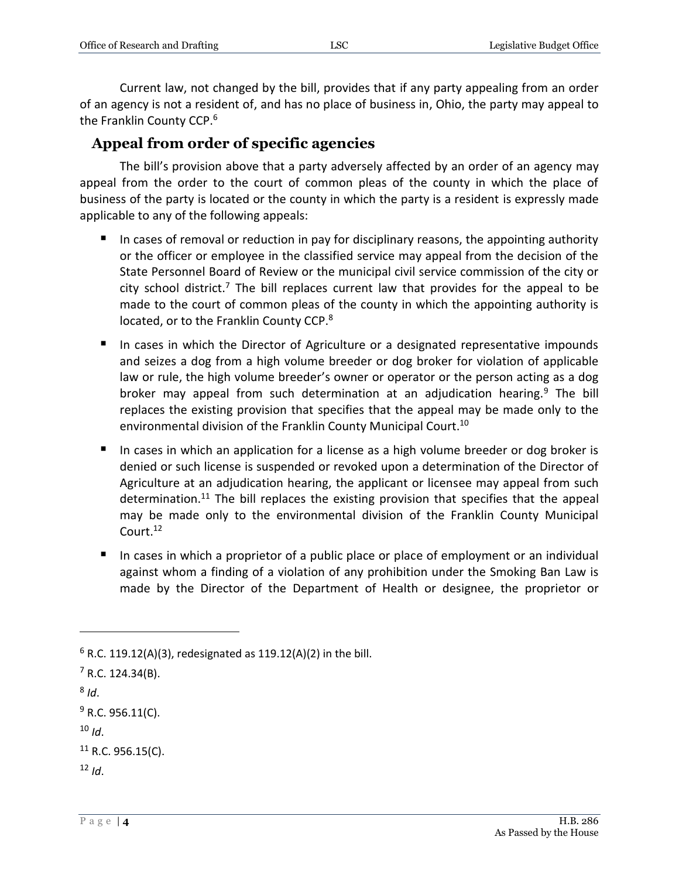Current law, not changed by the bill, provides that if any party appealing from an order of an agency is not a resident of, and has no place of business in, Ohio, the party may appeal to the Franklin County CCP.<sup>6</sup>

#### **Appeal from order of specific agencies**

The bill's provision above that a party adversely affected by an order of an agency may appeal from the order to the court of common pleas of the county in which the place of business of the party is located or the county in which the party is a resident is expressly made applicable to any of the following appeals:

- In cases of removal or reduction in pay for disciplinary reasons, the appointing authority or the officer or employee in the classified service may appeal from the decision of the State Personnel Board of Review or the municipal civil service commission of the city or city school district.<sup>7</sup> The bill replaces current law that provides for the appeal to be made to the court of common pleas of the county in which the appointing authority is located, or to the Franklin County CCP.<sup>8</sup>
- In cases in which the Director of Agriculture or a designated representative impounds and seizes a dog from a high volume breeder or dog broker for violation of applicable law or rule, the high volume breeder's owner or operator or the person acting as a dog broker may appeal from such determination at an adjudication hearing.<sup>9</sup> The bill replaces the existing provision that specifies that the appeal may be made only to the environmental division of the Franklin County Municipal Court.<sup>10</sup>
- In cases in which an application for a license as a high volume breeder or dog broker is denied or such license is suspended or revoked upon a determination of the Director of Agriculture at an adjudication hearing, the applicant or licensee may appeal from such determination.<sup>11</sup> The bill replaces the existing provision that specifies that the appeal may be made only to the environmental division of the Franklin County Municipal Court.<sup>12</sup>
- In cases in which a proprietor of a public place or place of employment or an individual against whom a finding of a violation of any prohibition under the Smoking Ban Law is made by the Director of the Department of Health or designee, the proprietor or

 $\overline{a}$ 

 $9$  R.C. 956.11(C).

 $12$  *Id*.

 $6$  R.C. 119.12(A)(3), redesignated as 119.12(A)(2) in the bill.

 $7$  R.C. 124.34(B).

<sup>8</sup> *Id*.

 $10$  *Id*.

 $11$  R.C. 956.15(C).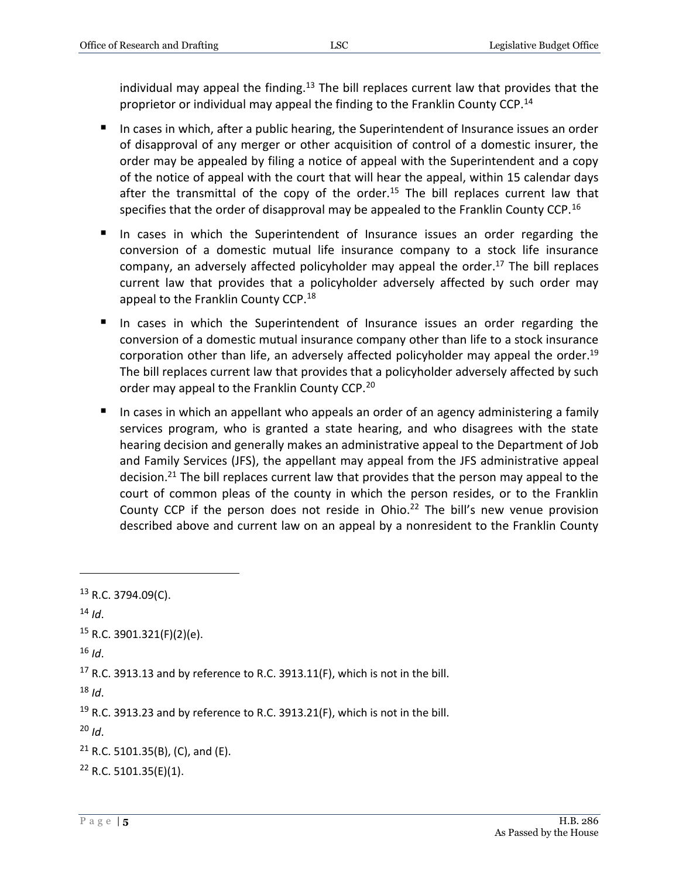individual may appeal the finding.<sup>13</sup> The bill replaces current law that provides that the proprietor or individual may appeal the finding to the Franklin County CCP.<sup>14</sup>

- In cases in which, after a public hearing, the Superintendent of Insurance issues an order of disapproval of any merger or other acquisition of control of a domestic insurer, the order may be appealed by filing a notice of appeal with the Superintendent and a copy of the notice of appeal with the court that will hear the appeal, within 15 calendar days after the transmittal of the copy of the order.<sup>15</sup> The bill replaces current law that specifies that the order of disapproval may be appealed to the Franklin County CCP.<sup>16</sup>
- In cases in which the Superintendent of Insurance issues an order regarding the conversion of a domestic mutual life insurance company to a stock life insurance company, an adversely affected policyholder may appeal the order. <sup>17</sup> The bill replaces current law that provides that a policyholder adversely affected by such order may appeal to the Franklin County CCP.<sup>18</sup>
- In cases in which the Superintendent of Insurance issues an order regarding the conversion of a domestic mutual insurance company other than life to a stock insurance corporation other than life, an adversely affected policyholder may appeal the order.<sup>19</sup> The bill replaces current law that provides that a policyholder adversely affected by such order may appeal to the Franklin County CCP.<sup>20</sup>
- In cases in which an appellant who appeals an order of an agency administering a family services program, who is granted a state hearing, and who disagrees with the state hearing decision and generally makes an administrative appeal to the Department of Job and Family Services (JFS), the appellant may appeal from the JFS administrative appeal decision.<sup>21</sup> The bill replaces current law that provides that the person may appeal to the court of common pleas of the county in which the person resides, or to the Franklin County CCP if the person does not reside in Ohio.<sup>22</sup> The bill's new venue provision described above and current law on an appeal by a nonresident to the Franklin County

 $\overline{a}$ 

 $18$  *Id*.

<sup>20</sup> *Id*.

<sup>13</sup> R.C. 3794.09(C).

 $14$  *Id*.

 $15$  R.C. 3901.321(F)(2)(e).

 $16$  *Id*.

 $17$  R.C. 3913.13 and by reference to R.C. 3913.11(F), which is not in the bill.

 $19$  R.C. 3913.23 and by reference to R.C. 3913.21(F), which is not in the bill.

 $21$  R.C. 5101.35(B), (C), and (E).

 $22$  R.C. 5101.35(E)(1).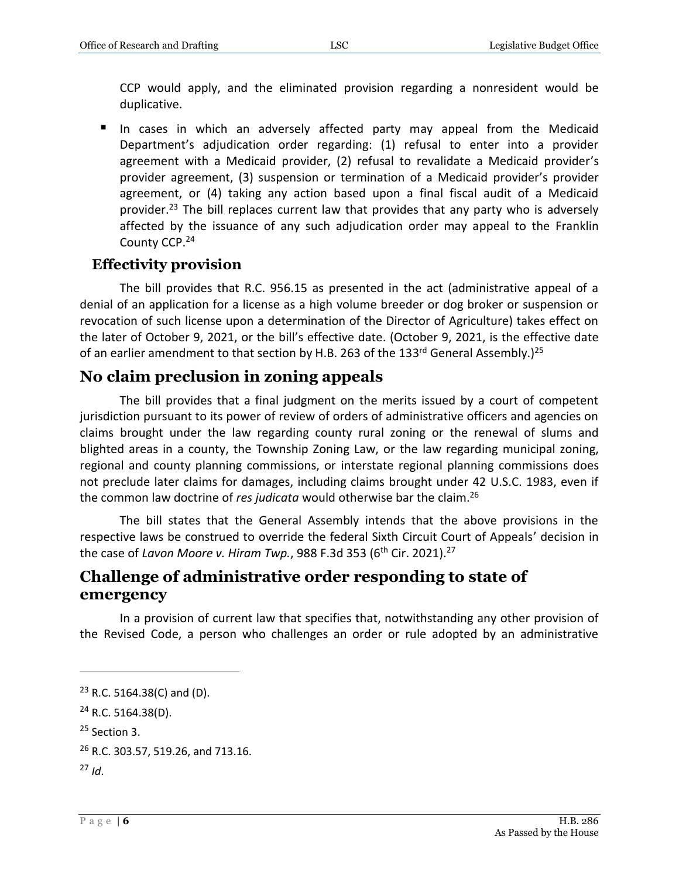CCP would apply, and the eliminated provision regarding a nonresident would be duplicative.

 In cases in which an adversely affected party may appeal from the Medicaid Department's adjudication order regarding: (1) refusal to enter into a provider agreement with a Medicaid provider, (2) refusal to revalidate a Medicaid provider's provider agreement, (3) suspension or termination of a Medicaid provider's provider agreement, or (4) taking any action based upon a final fiscal audit of a Medicaid provider.<sup>23</sup> The bill replaces current law that provides that any party who is adversely affected by the issuance of any such adjudication order may appeal to the Franklin County CCP.<sup>24</sup>

#### **Effectivity provision**

The bill provides that R.C. 956.15 as presented in the act (administrative appeal of a denial of an application for a license as a high volume breeder or dog broker or suspension or revocation of such license upon a determination of the Director of Agriculture) takes effect on the later of October 9, 2021, or the bill's effective date. (October 9, 2021, is the effective date of an earlier amendment to that section by H.B. 263 of the 133<sup>rd</sup> General Assembly.)<sup>25</sup>

#### **No claim preclusion in zoning appeals**

The bill provides that a final judgment on the merits issued by a court of competent jurisdiction pursuant to its power of review of orders of administrative officers and agencies on claims brought under the law regarding county rural zoning or the renewal of slums and blighted areas in a county, the Township Zoning Law, or the law regarding municipal zoning, regional and county planning commissions, or interstate regional planning commissions does not preclude later claims for damages, including claims brought under 42 U.S.C. 1983, even if the common law doctrine of *res judicata* would otherwise bar the claim.<sup>26</sup>

The bill states that the General Assembly intends that the above provisions in the respective laws be construed to override the federal Sixth Circuit Court of Appeals' decision in the case of *Lavon Moore v. Hiram Twp.*, 988 F.3d 353 (6<sup>th</sup> Cir. 2021).<sup>27</sup>

#### **Challenge of administrative order responding to state of emergency**

In a provision of current law that specifies that, notwithstanding any other provision of the Revised Code, a person who challenges an order or rule adopted by an administrative

 $\overline{a}$ 

 $23$  R.C. 5164.38(C) and (D).

<sup>24</sup> R.C. 5164.38(D).

<sup>25</sup> Section 3.

<sup>&</sup>lt;sup>26</sup> R.C. 303.57, 519.26, and 713.16.

<sup>27</sup> *Id*.